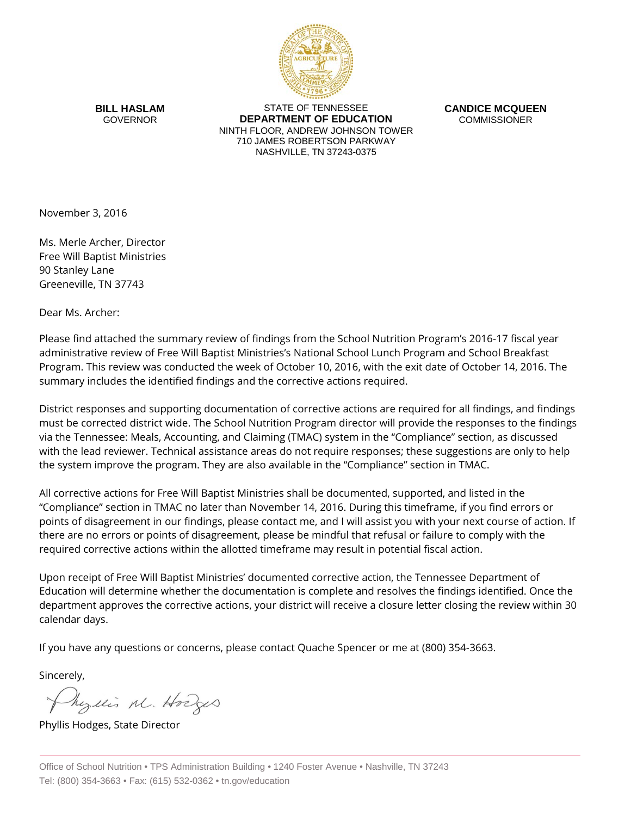

**BILL HASLAM** GOVERNOR

STATE OF TENNESSEE **DEPARTMENT OF EDUCATION** NINTH FLOOR, ANDREW JOHNSON TOWER 710 JAMES ROBERTSON PARKWAY NASHVILLE, TN 37243-0375

**CANDICE MCQUEEN** COMMISSIONER

November 3, 2016

Ms. Merle Archer, Director Free Will Baptist Ministries 90 Stanley Lane Greeneville, TN 37743

Dear Ms. Archer:

Please find attached the summary review of findings from the School Nutrition Program's 2016-17 fiscal year administrative review of Free Will Baptist Ministries's National School Lunch Program and School Breakfast Program. This review was conducted the week of October 10, 2016, with the exit date of October 14, 2016. The summary includes the identified findings and the corrective actions required.

District responses and supporting documentation of corrective actions are required for all findings, and findings must be corrected district wide. The School Nutrition Program director will provide the responses to the findings via the Tennessee: Meals, Accounting, and Claiming (TMAC) system in the "Compliance" section, as discussed with the lead reviewer. Technical assistance areas do not require responses; these suggestions are only to help the system improve the program. They are also available in the "Compliance" section in TMAC.

All corrective actions for Free Will Baptist Ministries shall be documented, supported, and listed in the "Compliance" section in TMAC no later than November 14, 2016. During this timeframe, if you find errors or points of disagreement in our findings, please contact me, and I will assist you with your next course of action. If there are no errors or points of disagreement, please be mindful that refusal or failure to comply with the required corrective actions within the allotted timeframe may result in potential fiscal action.

Upon receipt of Free Will Baptist Ministries' documented corrective action, the Tennessee Department of Education will determine whether the documentation is complete and resolves the findings identified. Once the department approves the corrective actions, your district will receive a closure letter closing the review within 30 calendar days.

If you have any questions or concerns, please contact Quache Spencer or me at (800) 354-3663.

Sincerely,

hezelis M. Hodges

Phyllis Hodges, State Director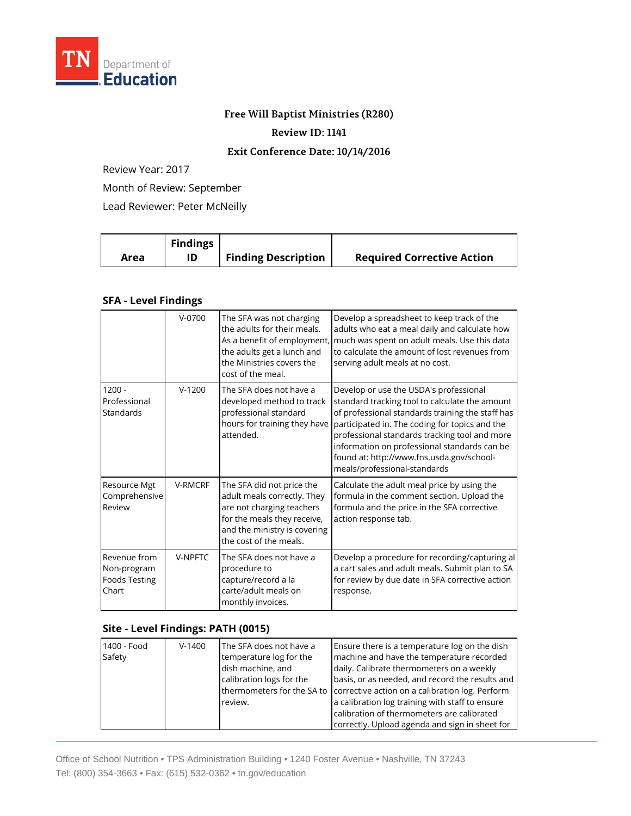

### **Free Will Baptist Ministries (R280)**

#### **Review ID: 1141**

### **Exit Conference Date: 10/14/2016**

Review Year: 2017

Month of Review: September

Lead Reviewer: Peter McNeilly

|      | <b>Findings</b> |                            |                                   |
|------|-----------------|----------------------------|-----------------------------------|
| Area | ID              | <b>Finding Description</b> | <b>Required Corrective Action</b> |

## **SFA - Level Findings**

|                                                              | $V - 0700$     | The SFA was not charging<br>the adults for their meals.<br>As a benefit of employment,<br>the adults get a lunch and<br>the Ministries covers the<br>cost of the meal.         | Develop a spreadsheet to keep track of the<br>adults who eat a meal daily and calculate how<br>much was spent on adult meals. Use this data<br>to calculate the amount of lost revenues from<br>serving adult meals at no cost.                                                                                                                                              |
|--------------------------------------------------------------|----------------|--------------------------------------------------------------------------------------------------------------------------------------------------------------------------------|------------------------------------------------------------------------------------------------------------------------------------------------------------------------------------------------------------------------------------------------------------------------------------------------------------------------------------------------------------------------------|
| $1200 -$<br>Professional<br>Standards                        | $V-1200$       | The SFA does not have a<br>developed method to track<br>professional standard<br>hours for training they have<br>attended.                                                     | Develop or use the USDA's professional<br>standard tracking tool to calculate the amount<br>of professional standards training the staff has<br>participated in. The coding for topics and the<br>professional standards tracking tool and more<br>information on professional standards can be<br>found at: http://www.fns.usda.gov/school-<br>meals/professional-standards |
| Resource Mgt<br>Comprehensive<br>Review                      | <b>V-RMCRF</b> | The SFA did not price the<br>adult meals correctly. They<br>are not charging teachers<br>for the meals they receive,<br>and the ministry is covering<br>the cost of the meals. | Calculate the adult meal price by using the<br>formula in the comment section. Upload the<br>formula and the price in the SFA corrective<br>action response tab.                                                                                                                                                                                                             |
| Revenue from<br>Non-program<br><b>Foods Testing</b><br>Chart | V-NPFTC        | The SFA does not have a<br>procedure to<br>capture/record a la<br>carte/adult meals on<br>monthly invoices.                                                                    | Develop a procedure for recording/capturing al<br>a cart sales and adult meals. Submit plan to SA<br>for review by due date in SFA corrective action<br>response.                                                                                                                                                                                                            |

# **Site - Level Findings: PATH (0015)**

| 1400 - Food<br>Safety | $V-1400$ | The SFA does not have a<br>temperature log for the<br>dish machine, and<br>calibration logs for the<br>review. | Ensure there is a temperature log on the dish<br>machine and have the temperature recorded<br>daily. Calibrate thermometers on a weekly<br>basis, or as needed, and record the results and<br>thermometers for the SA to corrective action on a calibration log. Perform<br>a calibration log training with staff to ensure<br>calibration of thermometers are calibrated<br>correctly. Upload agenda and sign in sheet for |
|-----------------------|----------|----------------------------------------------------------------------------------------------------------------|-----------------------------------------------------------------------------------------------------------------------------------------------------------------------------------------------------------------------------------------------------------------------------------------------------------------------------------------------------------------------------------------------------------------------------|
|-----------------------|----------|----------------------------------------------------------------------------------------------------------------|-----------------------------------------------------------------------------------------------------------------------------------------------------------------------------------------------------------------------------------------------------------------------------------------------------------------------------------------------------------------------------------------------------------------------------|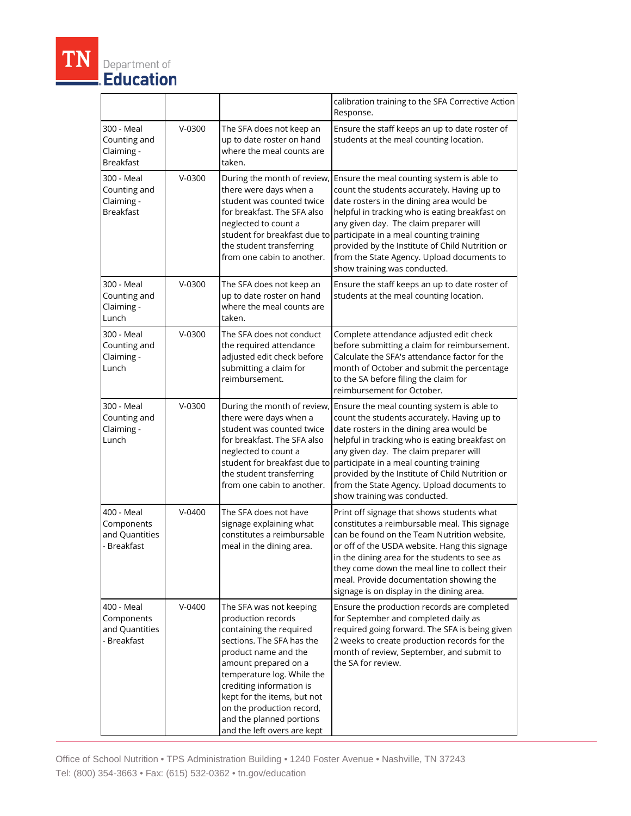|                                                              |            |                                                                                                                                                                                                                                                                                                                                        | calibration training to the SFA Corrective Action<br>Response.                                                                                                                                                                                                                                                                                                                                                                             |
|--------------------------------------------------------------|------------|----------------------------------------------------------------------------------------------------------------------------------------------------------------------------------------------------------------------------------------------------------------------------------------------------------------------------------------|--------------------------------------------------------------------------------------------------------------------------------------------------------------------------------------------------------------------------------------------------------------------------------------------------------------------------------------------------------------------------------------------------------------------------------------------|
| 300 - Meal<br>Counting and<br>Claiming -<br><b>Breakfast</b> | $V-0300$   | The SFA does not keep an<br>up to date roster on hand<br>where the meal counts are<br>taken.                                                                                                                                                                                                                                           | Ensure the staff keeps an up to date roster of<br>students at the meal counting location.                                                                                                                                                                                                                                                                                                                                                  |
| 300 - Meal<br>Counting and<br>Claiming -<br><b>Breakfast</b> | $V - 0300$ | During the month of review,<br>there were days when a<br>student was counted twice<br>for breakfast. The SFA also<br>neglected to count a<br>the student transferring<br>from one cabin to another.                                                                                                                                    | Ensure the meal counting system is able to<br>count the students accurately. Having up to<br>date rosters in the dining area would be<br>helpful in tracking who is eating breakfast on<br>any given day. The claim preparer will<br>student for breakfast due to participate in a meal counting training<br>provided by the Institute of Child Nutrition or<br>from the State Agency. Upload documents to<br>show training was conducted. |
| 300 - Meal<br>Counting and<br>Claiming -<br>Lunch            | $V-0300$   | The SFA does not keep an<br>up to date roster on hand<br>where the meal counts are<br>taken.                                                                                                                                                                                                                                           | Ensure the staff keeps an up to date roster of<br>students at the meal counting location.                                                                                                                                                                                                                                                                                                                                                  |
| 300 - Meal<br>Counting and<br>Claiming -<br>Lunch            | $V-0300$   | The SFA does not conduct<br>the required attendance<br>adjusted edit check before<br>submitting a claim for<br>reimbursement.                                                                                                                                                                                                          | Complete attendance adjusted edit check<br>before submitting a claim for reimbursement.<br>Calculate the SFA's attendance factor for the<br>month of October and submit the percentage<br>to the SA before filing the claim for<br>reimbursement for October.                                                                                                                                                                              |
| 300 - Meal<br>Counting and<br>Claiming -<br>Lunch            | $V-0300$   | During the month of review,<br>there were days when a<br>student was counted twice<br>for breakfast. The SFA also<br>neglected to count a<br>the student transferring<br>from one cabin to another.                                                                                                                                    | Ensure the meal counting system is able to<br>count the students accurately. Having up to<br>date rosters in the dining area would be<br>helpful in tracking who is eating breakfast on<br>any given day. The claim preparer will<br>student for breakfast due to participate in a meal counting training<br>provided by the Institute of Child Nutrition or<br>from the State Agency. Upload documents to<br>show training was conducted. |
| 400 - Meal<br>Components<br>and Quantities<br>- Breakfast    | $V - 0400$ | The SFA does not have<br>signage explaining what<br>constitutes a reimbursable<br>meal in the dining area.                                                                                                                                                                                                                             | Print off signage that shows students what<br>constitutes a reimbursable meal. This signage<br>can be found on the Team Nutrition website,<br>or off of the USDA website. Hang this signage<br>in the dining area for the students to see as<br>they come down the meal line to collect their<br>meal. Provide documentation showing the<br>signage is on display in the dining area.                                                      |
| 400 - Meal<br>Components<br>and Quantities<br>- Breakfast    | $V - 0400$ | The SFA was not keeping<br>production records<br>containing the required<br>sections. The SFA has the<br>product name and the<br>amount prepared on a<br>temperature log. While the<br>crediting information is<br>kept for the items, but not<br>on the production record,<br>and the planned portions<br>and the left overs are kept | Ensure the production records are completed<br>for September and completed daily as<br>required going forward. The SFA is being given<br>2 weeks to create production records for the<br>month of review, September, and submit to<br>the SA for review.                                                                                                                                                                                   |